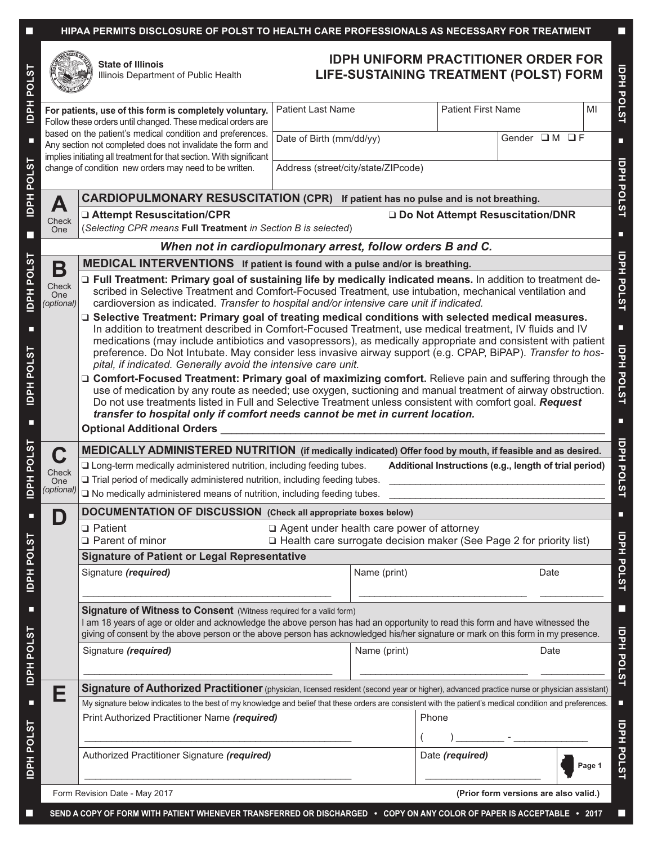### ■ **HIPAA PERMITS DISCLOSURE OF POLST TO HEALTH CARE PROFESSIONALS AS NECESSARY FOR TREATMENT** ■



**State of Illinois** Illinois Department of Public Health

# **IDPH UNIFORM PRACTITIONER ORDER FOR LIFE-SUSTAINING TREATMENT (POLST) FORM**

| For patients, use of this form is completely voluntary.<br>Follow these orders until changed. These medical orders are                                   |                                                                                                                                                                                                                                                                                                                                                                                                                                                                                                                                                                                                                                                                                                                                                                        | <b>Patient Last Name</b>            |                      | <b>Patient First Name</b>             | MI     |  |  |
|----------------------------------------------------------------------------------------------------------------------------------------------------------|------------------------------------------------------------------------------------------------------------------------------------------------------------------------------------------------------------------------------------------------------------------------------------------------------------------------------------------------------------------------------------------------------------------------------------------------------------------------------------------------------------------------------------------------------------------------------------------------------------------------------------------------------------------------------------------------------------------------------------------------------------------------|-------------------------------------|----------------------|---------------------------------------|--------|--|--|
|                                                                                                                                                          | based on the patient's medical condition and preferences.<br>Any section not completed does not invalidate the form and                                                                                                                                                                                                                                                                                                                                                                                                                                                                                                                                                                                                                                                | Date of Birth (mm/dd/yy)            |                      | Gender OM OF                          |        |  |  |
| implies initiating all treatment for that section. With significant<br>change of condition new orders may need to be written.                            |                                                                                                                                                                                                                                                                                                                                                                                                                                                                                                                                                                                                                                                                                                                                                                        | Address (street/city/state/ZIPcode) |                      |                                       |        |  |  |
|                                                                                                                                                          | <b>CARDIOPULMONARY RESUSCITATION (CPR)</b> If patient has no pulse and is not breathing.                                                                                                                                                                                                                                                                                                                                                                                                                                                                                                                                                                                                                                                                               |                                     |                      |                                       |        |  |  |
| A                                                                                                                                                        | □ Attempt Resuscitation/CPR<br>Do Not Attempt Resuscitation/DNR                                                                                                                                                                                                                                                                                                                                                                                                                                                                                                                                                                                                                                                                                                        |                                     |                      |                                       |        |  |  |
| Check<br>One                                                                                                                                             | (Selecting CPR means Full Treatment in Section B is selected)                                                                                                                                                                                                                                                                                                                                                                                                                                                                                                                                                                                                                                                                                                          |                                     |                      |                                       |        |  |  |
| When not in cardiopulmonary arrest, follow orders B and C.                                                                                               |                                                                                                                                                                                                                                                                                                                                                                                                                                                                                                                                                                                                                                                                                                                                                                        |                                     |                      |                                       |        |  |  |
| Β                                                                                                                                                        | <b>MEDICAL INTERVENTIONS</b> If patient is found with a pulse and/or is breathing.                                                                                                                                                                                                                                                                                                                                                                                                                                                                                                                                                                                                                                                                                     |                                     |                      |                                       |        |  |  |
| Check<br><b>One</b><br>(optional)                                                                                                                        | □ Full Treatment: Primary goal of sustaining life by medically indicated means. In addition to treatment de-<br>scribed in Selective Treatment and Comfort-Focused Treatment, use intubation, mechanical ventilation and<br>cardioversion as indicated. Transfer to hospital and/or intensive care unit if indicated.<br>□ Selective Treatment: Primary goal of treating medical conditions with selected medical measures.<br>In addition to treatment described in Comfort-Focused Treatment, use medical treatment, IV fluids and IV<br>medications (may include antibiotics and vasopressors), as medically appropriate and consistent with patient<br>preference. Do Not Intubate. May consider less invasive airway support (e.g. CPAP, BiPAP). Transfer to hos- |                                     |                      |                                       |        |  |  |
|                                                                                                                                                          |                                                                                                                                                                                                                                                                                                                                                                                                                                                                                                                                                                                                                                                                                                                                                                        |                                     |                      |                                       |        |  |  |
|                                                                                                                                                          |                                                                                                                                                                                                                                                                                                                                                                                                                                                                                                                                                                                                                                                                                                                                                                        |                                     |                      |                                       |        |  |  |
|                                                                                                                                                          |                                                                                                                                                                                                                                                                                                                                                                                                                                                                                                                                                                                                                                                                                                                                                                        |                                     |                      |                                       |        |  |  |
|                                                                                                                                                          | pital, if indicated. Generally avoid the intensive care unit.                                                                                                                                                                                                                                                                                                                                                                                                                                                                                                                                                                                                                                                                                                          |                                     |                      |                                       |        |  |  |
|                                                                                                                                                          | □ Comfort-Focused Treatment: Primary goal of maximizing comfort. Relieve pain and suffering through the<br>use of medication by any route as needed; use oxygen, suctioning and manual treatment of airway obstruction.<br>Do not use treatments listed in Full and Selective Treatment unless consistent with comfort goal. Request                                                                                                                                                                                                                                                                                                                                                                                                                                   |                                     |                      |                                       |        |  |  |
|                                                                                                                                                          |                                                                                                                                                                                                                                                                                                                                                                                                                                                                                                                                                                                                                                                                                                                                                                        |                                     |                      |                                       |        |  |  |
|                                                                                                                                                          | transfer to hospital only if comfort needs cannot be met in current location.                                                                                                                                                                                                                                                                                                                                                                                                                                                                                                                                                                                                                                                                                          |                                     |                      |                                       |        |  |  |
|                                                                                                                                                          | <b>Optional Additional Orders</b>                                                                                                                                                                                                                                                                                                                                                                                                                                                                                                                                                                                                                                                                                                                                      |                                     |                      |                                       |        |  |  |
| STO <sub>E</sub><br>Hel<br>MEDICALLY ADMINISTERED NUTRITION (if medically indicated) Offer food by mouth, if feasible and as desired.<br>C               |                                                                                                                                                                                                                                                                                                                                                                                                                                                                                                                                                                                                                                                                                                                                                                        |                                     |                      |                                       |        |  |  |
| Check                                                                                                                                                    | I Long-term medically administered nutrition, including feeding tubes.<br>Additional Instructions (e.g., length of trial period)                                                                                                                                                                                                                                                                                                                                                                                                                                                                                                                                                                                                                                       |                                     |                      |                                       |        |  |  |
| One<br>(optional)                                                                                                                                        | Trial period of medically administered nutrition, including feeding tubes.<br>$\square$ No medically administered means of nutrition, including feeding tubes.                                                                                                                                                                                                                                                                                                                                                                                                                                                                                                                                                                                                         |                                     |                      |                                       |        |  |  |
|                                                                                                                                                          |                                                                                                                                                                                                                                                                                                                                                                                                                                                                                                                                                                                                                                                                                                                                                                        |                                     |                      |                                       |        |  |  |
| D                                                                                                                                                        | <b>DOCUMENTATION OF DISCUSSION</b> (Check all appropriate boxes below)<br>$\Box$ Patient<br>□ Agent under health care power of attorney<br>□ Health care surrogate decision maker (See Page 2 for priority list)<br>□ Parent of minor                                                                                                                                                                                                                                                                                                                                                                                                                                                                                                                                  |                                     |                      |                                       |        |  |  |
|                                                                                                                                                          |                                                                                                                                                                                                                                                                                                                                                                                                                                                                                                                                                                                                                                                                                                                                                                        |                                     |                      |                                       |        |  |  |
|                                                                                                                                                          | <b>Signature of Patient or Legal Representative</b>                                                                                                                                                                                                                                                                                                                                                                                                                                                                                                                                                                                                                                                                                                                    |                                     |                      |                                       |        |  |  |
|                                                                                                                                                          | Signature (required)                                                                                                                                                                                                                                                                                                                                                                                                                                                                                                                                                                                                                                                                                                                                                   |                                     | Name (print)         | Date                                  |        |  |  |
|                                                                                                                                                          |                                                                                                                                                                                                                                                                                                                                                                                                                                                                                                                                                                                                                                                                                                                                                                        |                                     |                      |                                       |        |  |  |
|                                                                                                                                                          | Signature of Witness to Consent (Witness required for a valid form)                                                                                                                                                                                                                                                                                                                                                                                                                                                                                                                                                                                                                                                                                                    |                                     |                      |                                       |        |  |  |
| Ξ<br>I am 18 years of age or older and acknowledge the above person has had an opportunity to read this form and have witnessed the<br><b>IDPH POLST</b> |                                                                                                                                                                                                                                                                                                                                                                                                                                                                                                                                                                                                                                                                                                                                                                        |                                     |                      |                                       |        |  |  |
|                                                                                                                                                          | giving of consent by the above person or the above person has acknowledged his/her signature or mark on this form in my presence.                                                                                                                                                                                                                                                                                                                                                                                                                                                                                                                                                                                                                                      |                                     |                      |                                       |        |  |  |
| Signature (required)                                                                                                                                     |                                                                                                                                                                                                                                                                                                                                                                                                                                                                                                                                                                                                                                                                                                                                                                        |                                     | Name (print)<br>Date |                                       |        |  |  |
|                                                                                                                                                          |                                                                                                                                                                                                                                                                                                                                                                                                                                                                                                                                                                                                                                                                                                                                                                        |                                     |                      |                                       |        |  |  |
| Ε                                                                                                                                                        | Signature of Authorized Practitioner (physician, licensed resident (second year or higher), advanced practice nurse or physician assistant)                                                                                                                                                                                                                                                                                                                                                                                                                                                                                                                                                                                                                            |                                     |                      |                                       |        |  |  |
|                                                                                                                                                          | My signature below indicates to the best of my knowledge and belief that these orders are consistent with the patient's medical condition and preferences.                                                                                                                                                                                                                                                                                                                                                                                                                                                                                                                                                                                                             |                                     |                      |                                       |        |  |  |
|                                                                                                                                                          | Print Authorized Practitioner Name (required)                                                                                                                                                                                                                                                                                                                                                                                                                                                                                                                                                                                                                                                                                                                          |                                     | Phone                |                                       |        |  |  |
|                                                                                                                                                          |                                                                                                                                                                                                                                                                                                                                                                                                                                                                                                                                                                                                                                                                                                                                                                        |                                     |                      |                                       |        |  |  |
|                                                                                                                                                          | Authorized Practitioner Signature (required)                                                                                                                                                                                                                                                                                                                                                                                                                                                                                                                                                                                                                                                                                                                           |                                     | Date (required)      |                                       | Page 1 |  |  |
|                                                                                                                                                          |                                                                                                                                                                                                                                                                                                                                                                                                                                                                                                                                                                                                                                                                                                                                                                        |                                     |                      |                                       |        |  |  |
|                                                                                                                                                          | Form Revision Date - May 2017                                                                                                                                                                                                                                                                                                                                                                                                                                                                                                                                                                                                                                                                                                                                          |                                     |                      | (Prior form versions are also valid.) |        |  |  |

l

 $\overline{\phantom{a}}$ 

■

**POLST**